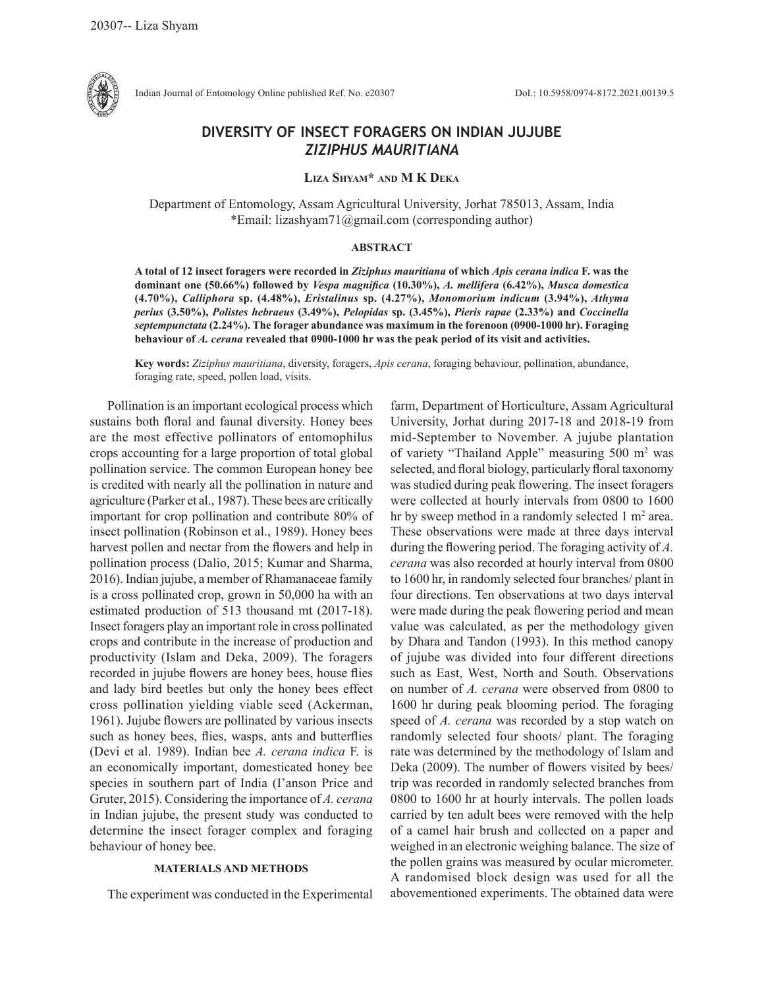

Indian Journal of Entomology Online published Ref. No. e20307 DoI.: 10.5958/0974-8172.2021.00139.5

# **DIVERSITY OF INSECT FORAGERS ON INDIAN JUJUBE**  *ZIZIPHUS MAURITIANA*

**Liza Shyam\* and M K Deka**

Department of Entomology, Assam Agricultural University, Jorhat 785013, Assam, India \*Email: lizashyam71@gmail.com (corresponding author)

### **ABSTRACT**

**A total of 12 insect foragers were recorded in** *Ziziphus mauritiana* **of which** *Apis cerana indica* **F. was the dominant one (50.66%) followed by** *Vespa magnifica* **(10.30%),** *A. mellifera* **(6.42%),** *Musca domestica*  **(4.70%),** *Calliphora* **sp. (4.48%),** *Eristalinus* **sp. (4.27%),** *Monomorium indicum* **(3.94%),** *Athyma perius* **(3.50%),** *Polistes hebraeus* **(3.49%),** *Pelopidas* **sp. (3.45%),** *Pieris rapae* **(2.33%) and** *Coccinella septempunctata* **(2.24%). The forager abundance was maximum in the forenoon (0900-1000 hr). Foraging behaviour of** *A. cerana* **revealed that 0900-1000 hr was the peak period of its visit and activities.** 

**Key words:** *Ziziphus mauritiana*, diversity, foragers, *Apis cerana*, foraging behaviour, pollination, abundance, foraging rate, speed, pollen load, visits.

Pollination is an important ecological process which sustains both floral and faunal diversity. Honey bees are the most effective pollinators of entomophilus crops accounting for a large proportion of total global pollination service. The common European honey bee is credited with nearly all the pollination in nature and agriculture (Parker et al., 1987). These bees are critically important for crop pollination and contribute 80% of insect pollination (Robinson et al., 1989). Honey bees harvest pollen and nectar from the flowers and help in pollination process (Dalio, 2015; Kumar and Sharma, 2016). Indian jujube, a member of Rhamanaceae family is a cross pollinated crop, grown in 50,000 ha with an estimated production of 513 thousand mt (2017-18). Insect foragers play an important role in cross pollinated crops and contribute in the increase of production and productivity (Islam and Deka, 2009). The foragers recorded in jujube flowers are honey bees, house flies and lady bird beetles but only the honey bees effect cross pollination yielding viable seed (Ackerman, 1961). Jujube flowers are pollinated by various insects such as honey bees, flies, wasps, ants and butterflies (Devi et al. 1989). Indian bee *A. cerana indica* F. is an economically important, domesticated honey bee species in southern part of India (I'anson Price and Gruter, 2015). Considering the importance of *A. cerana*  in Indian jujube, the present study was conducted to determine the insect forager complex and foraging behaviour of honey bee.

## **MATERIALS AND METHODS**

The experiment was conducted in the Experimental

farm, Department of Horticulture, Assam Agricultural University, Jorhat during 2017-18 and 2018-19 from mid-September to November. A jujube plantation of variety "Thailand Apple" measuring 500 m<sup>2</sup> was selected, and floral biology, particularly floral taxonomy was studied during peak flowering. The insect foragers were collected at hourly intervals from 0800 to 1600 hr by sweep method in a randomly selected  $1 \text{ m}^2$  area. These observations were made at three days interval during the flowering period. The foraging activity of *A. cerana* was also recorded at hourly interval from 0800 to 1600 hr, in randomly selected four branches/ plant in four directions. Ten observations at two days interval were made during the peak flowering period and mean value was calculated, as per the methodology given by Dhara and Tandon (1993). In this method canopy of jujube was divided into four different directions such as East, West, North and South. Observations on number of *A. cerana* were observed from 0800 to 1600 hr during peak blooming period. The foraging speed of *A. cerana* was recorded by a stop watch on randomly selected four shoots/ plant. The foraging rate was determined by the methodology of Islam and Deka (2009). The number of flowers visited by bees/ trip was recorded in randomly selected branches from 0800 to 1600 hr at hourly intervals. The pollen loads carried by ten adult bees were removed with the help of a camel hair brush and collected on a paper and weighed in an electronic weighing balance. The size of the pollen grains was measured by ocular micrometer. A randomised block design was used for all the abovementioned experiments. The obtained data were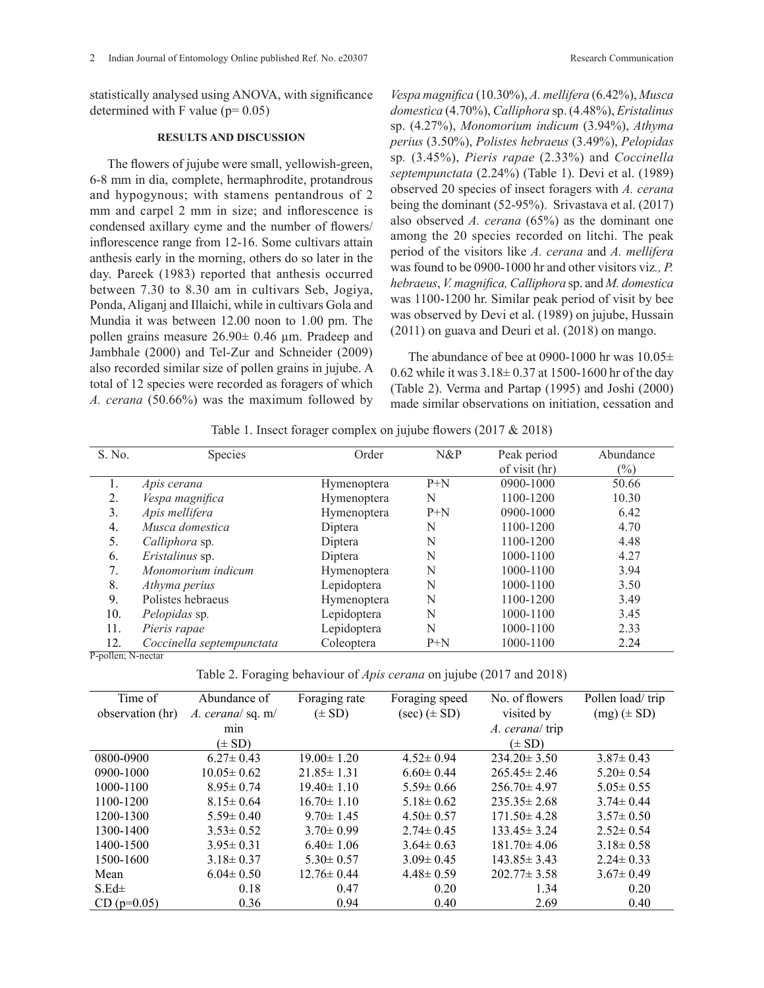statistically analysed using ANOVA, with significance determined with F value ( $p= 0.05$ )

#### **RESULTS AND DISCUSSION**

The flowers of jujube were small, yellowish-green, 6-8 mm in dia, complete, hermaphrodite, protandrous and hypogynous; with stamens pentandrous of 2 mm and carpel 2 mm in size; and inflorescence is condensed axillary cyme and the number of flowers/ inflorescence range from 12-16. Some cultivars attain anthesis early in the morning, others do so later in the day. Pareek (1983) reported that anthesis occurred between 7.30 to 8.30 am in cultivars Seb, Jogiya, Ponda, Aliganj and Illaichi, while in cultivars Gola and Mundia it was between 12.00 noon to 1.00 pm. The pollen grains measure 26.90± 0.46 µm. Pradeep and Jambhale (2000) and Tel-Zur and Schneider (2009) also recorded similar size of pollen grains in jujube. A total of 12 species were recorded as foragers of which *A. cerana* (50.66%) was the maximum followed by

*Vespa magnifica* (10.30%), *A. mellifera* (6.42%), *Musca domestica* (4.70%), *Calliphora* sp. (4.48%), *Eristalinus*  sp. (4.27%), *Monomorium indicum* (3.94%), *Athyma perius* (3.50%), *Polistes hebraeus* (3.49%), *Pelopidas*  sp*.* (3.45%), *Pieris rapae* (2.33%) and *Coccinella septempunctata* (2.24%) (Table 1). Devi et al. (1989) observed 20 species of insect foragers with *A. cerana*  being the dominant (52-95%). Srivastava et al. (2017) also observed *A. cerana* (65%) as the dominant one among the 20 species recorded on litchi. The peak period of the visitors like *A. cerana* and *A. mellifera* was found to be 0900-1000 hr and other visitors viz*., P. hebraeus*, *V. magnifica, Calliphora* sp. and *M. domestica* was 1100-1200 hr. Similar peak period of visit by bee was observed by Devi et al. (1989) on jujube, Hussain (2011) on guava and Deuri et al. (2018) on mango.

The abundance of bee at 0900-1000 hr was  $10.05\pm$ 0.62 while it was  $3.18 \pm 0.37$  at 1500-1600 hr of the day (Table 2). Verma and Partap (1995) and Joshi (2000) made similar observations on initiation, cessation and

Table 1. Insect forager complex on jujube flowers (2017 & 2018)

| S. No.             | <b>Species</b>            | Order       | N&P   | Peak period   | Abundance |  |  |
|--------------------|---------------------------|-------------|-------|---------------|-----------|--|--|
|                    |                           |             |       | of visit (hr) | $(\%)$    |  |  |
| 1.                 | Apis cerana               | Hymenoptera | $P+N$ | 0900-1000     | 50.66     |  |  |
| 2.                 | Vespa magnifica           | Hymenoptera | N     | 1100-1200     | 10.30     |  |  |
| 3.                 | Apis mellifera            | Hymenoptera | $P+N$ | $0900 - 1000$ | 6.42      |  |  |
| $\overline{4}$ .   | Musca domestica           | Diptera     | N     | 1100-1200     | 4.70      |  |  |
| 5.                 | <i>Calliphora</i> sp.     | Diptera     | N     | 1100-1200     | 4.48      |  |  |
| 6.                 | Eristalinus sp.           | Diptera     | N     | 1000-1100     | 4.27      |  |  |
| 7.                 | Monomorium indicum        | Hymenoptera | N     | 1000-1100     | 3.94      |  |  |
| 8.                 | Athyma perius             | Lepidoptera | N     | 1000-1100     | 3.50      |  |  |
| 9.                 | Polistes hebraeus         | Hymenoptera | N     | 1100-1200     | 3.49      |  |  |
| 10.                | Pelopidas sp.             | Lepidoptera | N     | 1000-1100     | 3.45      |  |  |
| 11.                | Pieris rapae              | Lepidoptera | N     | 1000-1100     | 2.33      |  |  |
| 12.                | Coccinella septempunctata | Coleoptera  | $P+N$ | 1000-1100     | 2.24      |  |  |
| P-pollen: N-nectar |                           |             |       |               |           |  |  |

Table 2. Foraging behaviour of *Apis cerana* on jujube (2017 and 2018)

| Time of          | Abundance of     | Foraging rate    | Foraging speed   | No. of flowers    | Pollen load/trip |
|------------------|------------------|------------------|------------------|-------------------|------------------|
| observation (hr) | A. cerana/sq. m/ | $(\pm SD)$       | $(sec) (\pm SD)$ | visited by        | $(mg) (\pm SD)$  |
|                  | min              |                  |                  | A. cerana/trip    |                  |
|                  | $(\pm SD)$       |                  |                  | $(\pm SD)$        |                  |
| 0800-0900        | $6.27 \pm 0.43$  | $19.00 \pm 1.20$ | $4.52 \pm 0.94$  | $234.20 \pm 3.50$ | $3.87 \pm 0.43$  |
| 0900-1000        | $10.05 \pm 0.62$ | $21.85 \pm 1.31$ | $6.60 \pm 0.44$  | $265.45 \pm 2.46$ | $5.20 \pm 0.54$  |
| 1000-1100        | $8.95 \pm 0.74$  | $19.40 \pm 1.10$ | $5.59 \pm 0.66$  | $256.70 \pm 4.97$ | $5.05 \pm 0.55$  |
| 1100-1200        | $8.15 \pm 0.64$  | $16.70 \pm 1.10$ | $5.18 \pm 0.62$  | $235.35 \pm 2.68$ | $3.74 \pm 0.44$  |
| 1200-1300        | $5.59 \pm 0.40$  | $9.70 \pm 1.45$  | $4.50 \pm 0.57$  | $171.50 \pm 4.28$ | $3.57 \pm 0.50$  |
| 1300-1400        | $3.53 \pm 0.52$  | $3.70 \pm 0.99$  | $2.74 \pm 0.45$  | $133.45 \pm 3.24$ | $2.52 \pm 0.54$  |
| 1400-1500        | $3.95 \pm 0.31$  | $6.40 \pm 1.06$  | $3.64 \pm 0.63$  | $181.70 \pm 4.06$ | $3.18 \pm 0.58$  |
| 1500-1600        | $3.18 \pm 0.37$  | $5.30 \pm 0.57$  | $3.09 \pm 0.45$  | $143.85 \pm 3.43$ | $2.24 \pm 0.33$  |
| Mean             | $6.04 \pm 0.50$  | $12.76 \pm 0.44$ | $4.48 \pm 0.59$  | $202.77 \pm 3.58$ | $3.67 \pm 0.49$  |
| $S.Ed\pm$        | 0.18             | 0.47             | 0.20             | 1.34              | 0.20             |
| $CD (p=0.05)$    | 0.36             | 0.94             | 0.40             | 2.69              | 0.40             |